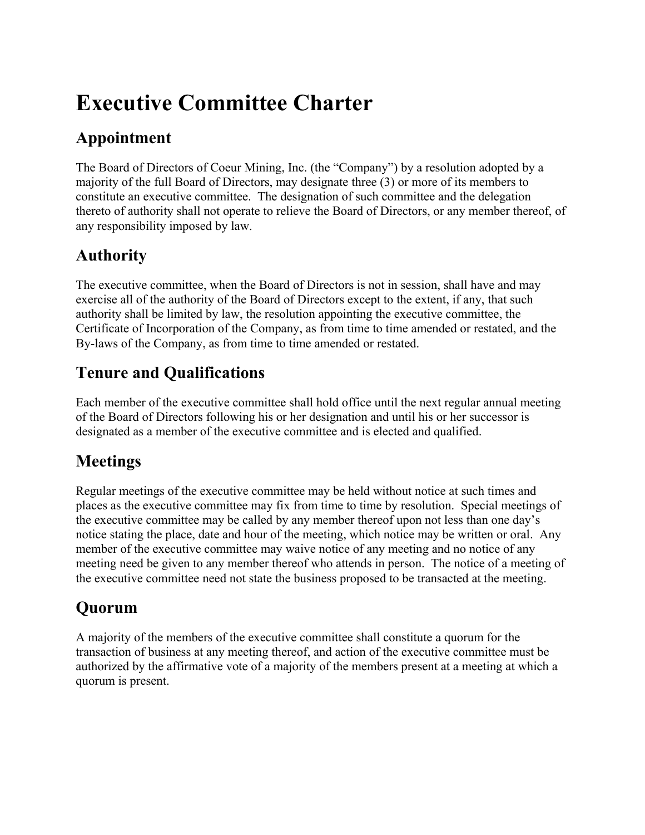# **Executive Committee Charter**

## **Appointment**

The Board of Directors of Coeur Mining, Inc. (the "Company") by a resolution adopted by a majority of the full Board of Directors, may designate three (3) or more of its members to constitute an executive committee. The designation of such committee and the delegation thereto of authority shall not operate to relieve the Board of Directors, or any member thereof, of any responsibility imposed by law.

### **Authority**

The executive committee, when the Board of Directors is not in session, shall have and may exercise all of the authority of the Board of Directors except to the extent, if any, that such authority shall be limited by law, the resolution appointing the executive committee, the Certificate of Incorporation of the Company, as from time to time amended or restated, and the By-laws of the Company, as from time to time amended or restated.

### **Tenure and Qualifications**

Each member of the executive committee shall hold office until the next regular annual meeting of the Board of Directors following his or her designation and until his or her successor is designated as a member of the executive committee and is elected and qualified.

## **Meetings**

Regular meetings of the executive committee may be held without notice at such times and places as the executive committee may fix from time to time by resolution. Special meetings of the executive committee may be called by any member thereof upon not less than one day's notice stating the place, date and hour of the meeting, which notice may be written or oral. Any member of the executive committee may waive notice of any meeting and no notice of any meeting need be given to any member thereof who attends in person. The notice of a meeting of the executive committee need not state the business proposed to be transacted at the meeting.

## **Quorum**

A majority of the members of the executive committee shall constitute a quorum for the transaction of business at any meeting thereof, and action of the executive committee must be authorized by the affirmative vote of a majority of the members present at a meeting at which a quorum is present.